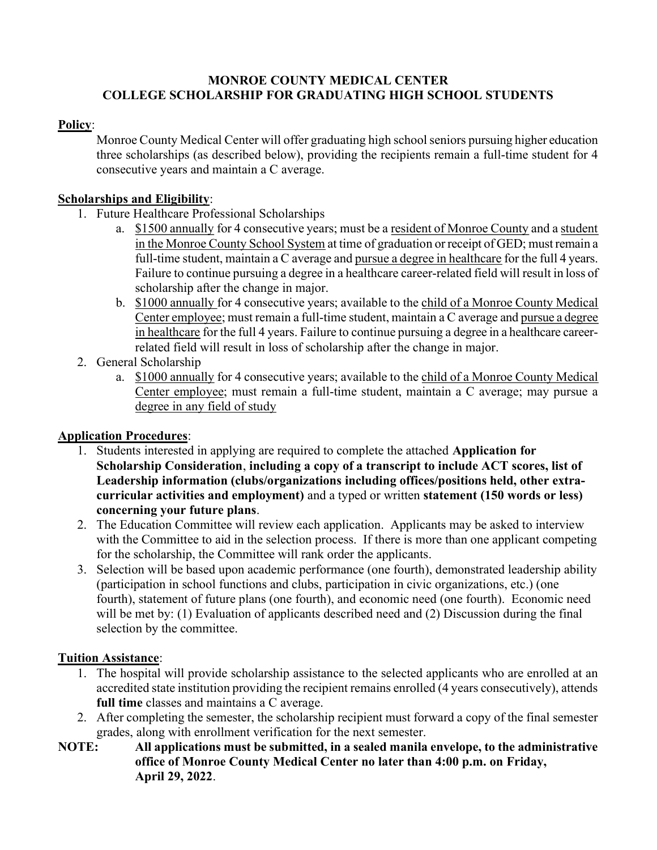#### MONROE COUNTY MEDICAL CENTER COLLEGE SCHOLARSHIP FOR GRADUATING HIGH SCHOOL STUDENTS

#### Policy:

Monroe County Medical Center will offer graduating high school seniors pursuing higher education three scholarships (as described below), providing the recipients remain a full-time student for 4 consecutive years and maintain a C average.

#### Scholarships and Eligibility:

- 1. Future Healthcare Professional Scholarships
	- a. \$1500 annually for 4 consecutive years; must be a resident of Monroe County and a student in the Monroe County School System at time of graduation or receipt of GED; must remain a full-time student, maintain a C average and pursue a degree in healthcare for the full 4 years. Failure to continue pursuing a degree in a healthcare career-related field will result in loss of scholarship after the change in major.
	- b. \$1000 annually for 4 consecutive years; available to the child of a Monroe County Medical Center employee; must remain a full-time student, maintain a C average and pursue a degree in healthcare for the full 4 years. Failure to continue pursuing a degree in a healthcare careerrelated field will result in loss of scholarship after the change in major.
- 2. General Scholarship
	- a. \$1000 annually for 4 consecutive years; available to the child of a Monroe County Medical Center employee; must remain a full-time student, maintain a C average; may pursue a degree in any field of study

#### Application Procedures:

- 1. Students interested in applying are required to complete the attached Application for Scholarship Consideration, including a copy of a transcript to include ACT scores, list of Leadership information (clubs/organizations including offices/positions held, other extracurricular activities and employment) and a typed or written statement (150 words or less) concerning your future plans.
- 2. The Education Committee will review each application. Applicants may be asked to interview with the Committee to aid in the selection process. If there is more than one applicant competing for the scholarship, the Committee will rank order the applicants.
- 3. Selection will be based upon academic performance (one fourth), demonstrated leadership ability (participation in school functions and clubs, participation in civic organizations, etc.) (one fourth), statement of future plans (one fourth), and economic need (one fourth). Economic need will be met by: (1) Evaluation of applicants described need and (2) Discussion during the final selection by the committee.

#### Tuition Assistance:

- 1. The hospital will provide scholarship assistance to the selected applicants who are enrolled at an accredited state institution providing the recipient remains enrolled (4 years consecutively), attends full time classes and maintains a C average.
- 2. After completing the semester, the scholarship recipient must forward a copy of the final semester grades, along with enrollment verification for the next semester.
- NOTE: All applications must be submitted, in a sealed manila envelope, to the administrative office of Monroe County Medical Center no later than 4:00 p.m. on Friday, April 29, 2022.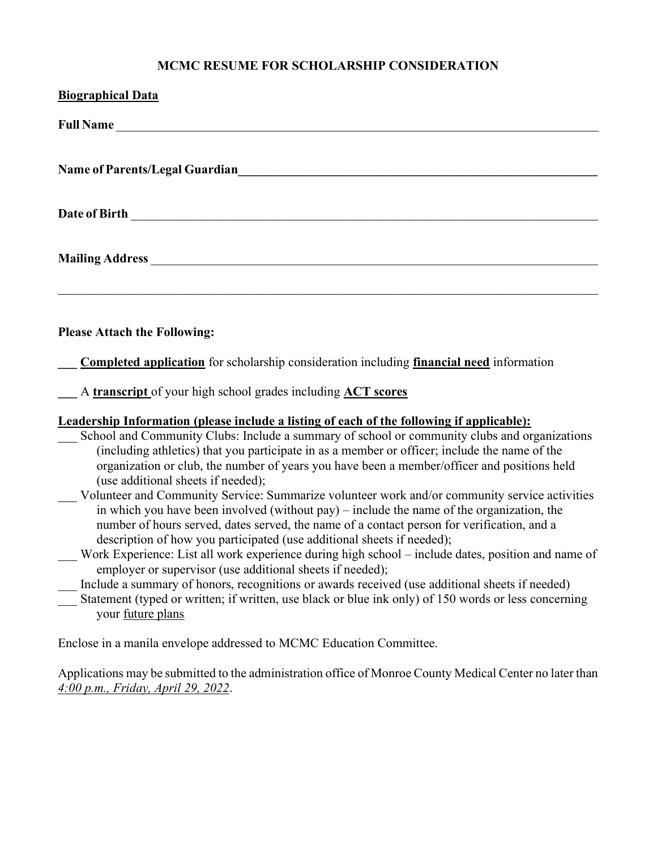## MCMC RESUME FOR SCHOLARSHIP CONSIDERATION

| <b>Biographical Data</b>                                                                                                                                                                                                                                                                                                                                                                                                                                                                                                                                                                                                                                                                                                                                                                                                                                                                                                                                                                                                                                                                                                                                                                                |
|---------------------------------------------------------------------------------------------------------------------------------------------------------------------------------------------------------------------------------------------------------------------------------------------------------------------------------------------------------------------------------------------------------------------------------------------------------------------------------------------------------------------------------------------------------------------------------------------------------------------------------------------------------------------------------------------------------------------------------------------------------------------------------------------------------------------------------------------------------------------------------------------------------------------------------------------------------------------------------------------------------------------------------------------------------------------------------------------------------------------------------------------------------------------------------------------------------|
| <b>Full Name</b>                                                                                                                                                                                                                                                                                                                                                                                                                                                                                                                                                                                                                                                                                                                                                                                                                                                                                                                                                                                                                                                                                                                                                                                        |
| <b>Name of Parents/Legal Guardian</b>                                                                                                                                                                                                                                                                                                                                                                                                                                                                                                                                                                                                                                                                                                                                                                                                                                                                                                                                                                                                                                                                                                                                                                   |
| Date of Birth <b>Exercise 2008</b>                                                                                                                                                                                                                                                                                                                                                                                                                                                                                                                                                                                                                                                                                                                                                                                                                                                                                                                                                                                                                                                                                                                                                                      |
|                                                                                                                                                                                                                                                                                                                                                                                                                                                                                                                                                                                                                                                                                                                                                                                                                                                                                                                                                                                                                                                                                                                                                                                                         |
| <b>Please Attach the Following:</b>                                                                                                                                                                                                                                                                                                                                                                                                                                                                                                                                                                                                                                                                                                                                                                                                                                                                                                                                                                                                                                                                                                                                                                     |
| <b>Completed application</b> for scholarship consideration including <i>financial need</i> information                                                                                                                                                                                                                                                                                                                                                                                                                                                                                                                                                                                                                                                                                                                                                                                                                                                                                                                                                                                                                                                                                                  |
| A transcript of your high school grades including ACT scores                                                                                                                                                                                                                                                                                                                                                                                                                                                                                                                                                                                                                                                                                                                                                                                                                                                                                                                                                                                                                                                                                                                                            |
| Leadership Information (please include a listing of each of the following if applicable):<br>School and Community Clubs: Include a summary of school or community clubs and organizations<br>(including athletics) that you participate in as a member or officer; include the name of the<br>organization or club, the number of years you have been a member/officer and positions held<br>(use additional sheets if needed);<br>Volunteer and Community Service: Summarize volunteer work and/or community service activities<br>in which you have been involved (without pay) – include the name of the organization, the<br>number of hours served, dates served, the name of a contact person for verification, and a<br>description of how you participated (use additional sheets if needed);<br>Work Experience: List all work experience during high school - include dates, position and name of<br>employer or supervisor (use additional sheets if needed);<br>Include a summary of honors, recognitions or awards received (use additional sheets if needed)<br>Statement (typed or written; if written, use black or blue ink only) of 150 words or less concerning<br>your future plans |
| Enclose in a manila envelope addressed to MCMC Education Committee.                                                                                                                                                                                                                                                                                                                                                                                                                                                                                                                                                                                                                                                                                                                                                                                                                                                                                                                                                                                                                                                                                                                                     |

Applications may be submitted to the administration office of Monroe County Medical Center no later than 4:00 p.m., Friday, April 29, 2022.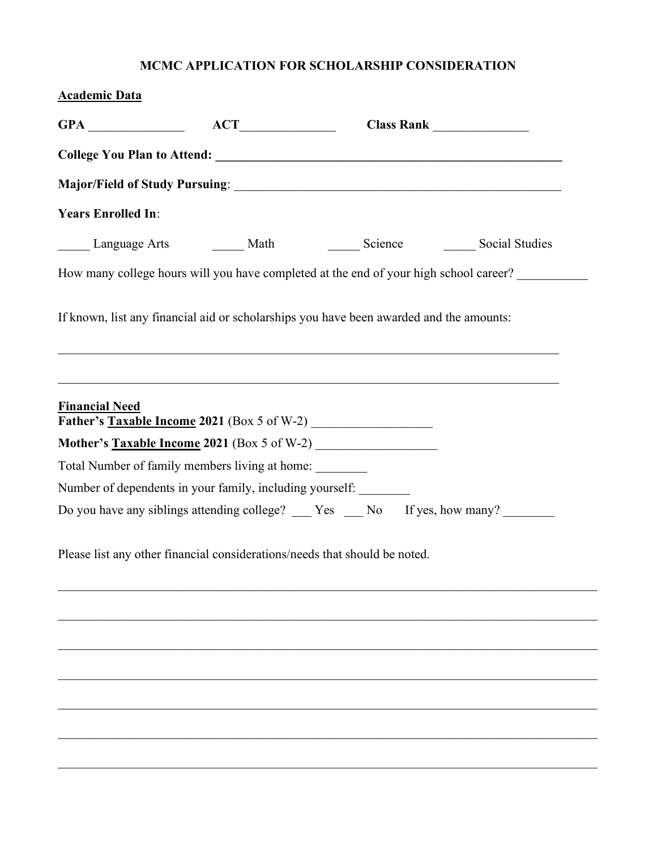# MCMC APPLICATION FOR SCHOLARSHIP CONSIDERATION

| <b>Years Enrolled In:</b>                                                            |                                                                                         |  |
|--------------------------------------------------------------------------------------|-----------------------------------------------------------------------------------------|--|
|                                                                                      |                                                                                         |  |
|                                                                                      | How many college hours will you have completed at the end of your high school career?   |  |
|                                                                                      | If known, list any financial aid or scholarships you have been awarded and the amounts: |  |
| <b>Financial Need</b>                                                                | ,我们也不能在这里的时候,我们也不能在这里的时候,我们也不能会在这里的时候,我们也不能会在这里的时候,我们也不能会在这里的时候,我们也不能会在这里的时候,我们也        |  |
|                                                                                      |                                                                                         |  |
|                                                                                      | Total Number of family members living at home:                                          |  |
|                                                                                      | Number of dependents in your family, including yourself:                                |  |
|                                                                                      |                                                                                         |  |
|                                                                                      | Please list any other financial considerations/needs that should be noted.              |  |
|                                                                                      |                                                                                         |  |
|                                                                                      |                                                                                         |  |
|                                                                                      |                                                                                         |  |
|                                                                                      |                                                                                         |  |
| Do you have any siblings attending college? ___ Yes ___ No If yes, how many? _______ |                                                                                         |  |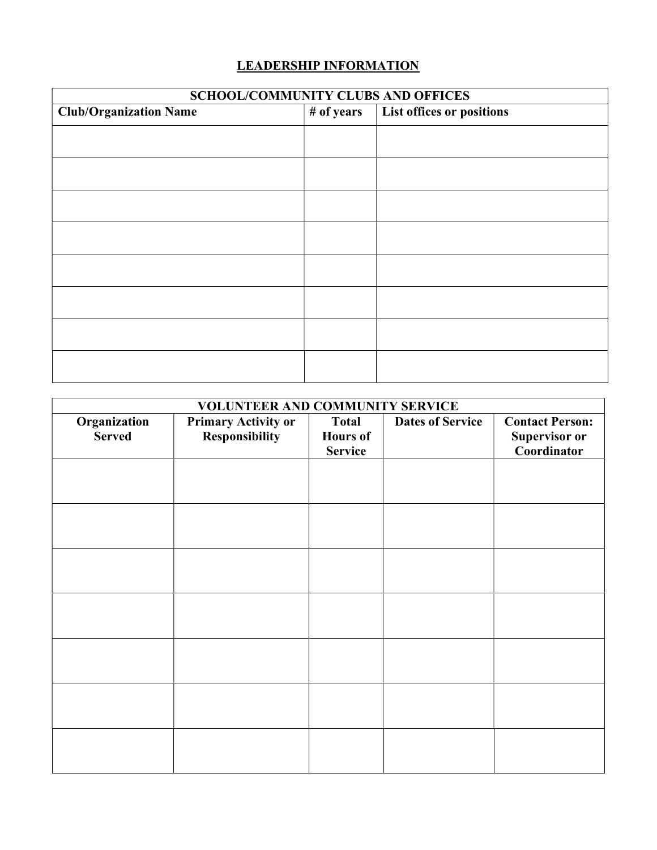## LEADERSHIP INFORMATION

| <b>SCHOOL/COMMUNITY CLUBS AND OFFICES</b> |            |                           |  |
|-------------------------------------------|------------|---------------------------|--|
| <b>Club/Organization Name</b>             | # of years | List offices or positions |  |
|                                           |            |                           |  |
|                                           |            |                           |  |
|                                           |            |                           |  |
|                                           |            |                           |  |
|                                           |            |                           |  |
|                                           |            |                           |  |
|                                           |            |                           |  |
|                                           |            |                           |  |
|                                           |            |                           |  |
|                                           |            |                           |  |
|                                           |            |                           |  |
|                                           |            |                           |  |
|                                           |            |                           |  |
|                                           |            |                           |  |
|                                           |            |                           |  |

| VOLUNTEER AND COMMUNITY SERVICE |                                       |                                                   |                         |                                                        |
|---------------------------------|---------------------------------------|---------------------------------------------------|-------------------------|--------------------------------------------------------|
| Organization<br><b>Served</b>   | Primary Activity or<br>Responsibility | <b>Total</b><br><b>Hours of</b><br><b>Service</b> | <b>Dates of Service</b> | <b>Contact Person:</b><br>Supervisor or<br>Coordinator |
|                                 |                                       |                                                   |                         |                                                        |
|                                 |                                       |                                                   |                         |                                                        |
|                                 |                                       |                                                   |                         |                                                        |
|                                 |                                       |                                                   |                         |                                                        |
|                                 |                                       |                                                   |                         |                                                        |
|                                 |                                       |                                                   |                         |                                                        |
|                                 |                                       |                                                   |                         |                                                        |